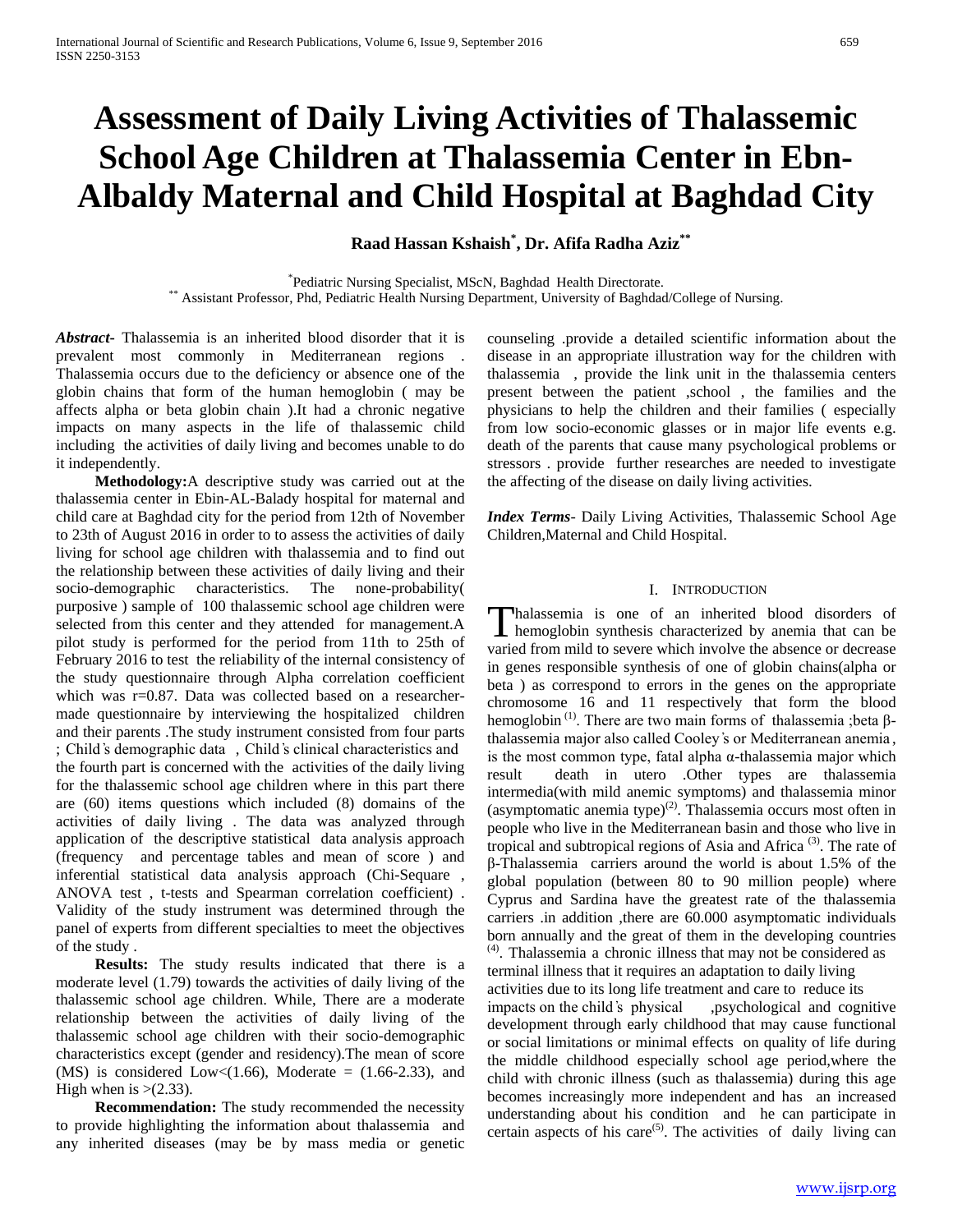# **Assessment of Daily Living Activities of Thalassemic School Age Children at Thalassemia Center in Ebn-Albaldy Maternal and Child Hospital at Baghdad City**

**Raad Hassan Kshaish\* , Dr. Afifa Radha Aziz\*\***

\*Pediatric Nursing Specialist, MScN, Baghdad Health Directorate. \*\* Assistant Professor, Phd, Pediatric Health Nursing Department, University of Baghdad/College of Nursing.

*Abstract***-** Thalassemia is an inherited blood disorder that it is prevalent most commonly in Mediterranean regions . Thalassemia occurs due to the deficiency or absence one of the globin chains that form of the human hemoglobin ( may be affects alpha or beta globin chain ).It had a chronic negative impacts on many aspects in the life of thalassemic child including the activities of daily living and becomes unable to do it independently.

 **Methodology:**A descriptive study was carried out at the thalassemia center in Ebin-AL-Balady hospital for maternal and child care at Baghdad city for the period from 12th of November to 23th of August 2016 in order to to assess the activities of daily living for school age children with thalassemia and to find out the relationship between these activities of daily living and their socio-demographic characteristics. The none-probability( purposive ) sample of 100 thalassemic school age children were selected from this center and they attended for management.A pilot study is performed for the period from 11th to 25th of February 2016 to test the reliability of the internal consistency of the study questionnaire through Alpha correlation coefficient which was r=0.87. Data was collected based on a researchermade questionnaire by interviewing the hospitalized children and their parents .The study instrument consisted from four parts ; Child ҆s demographic data , Child ҆s clinical characteristics and the fourth part is concerned with the activities of the daily living for the thalassemic school age children where in this part there are (60) items questions which included (8) domains of the activities of daily living . The data was analyzed through application of the descriptive statistical data analysis approach (frequency and percentage tables and mean of score ) and inferential statistical data analysis approach (Chi-Sequare , ANOVA test , t-tests and Spearman correlation coefficient) . Validity of the study instrument was determined through the panel of experts from different specialties to meet the objectives of the study .

 **Results:** The study results indicated that there is a moderate level (1.79) towards the activities of daily living of the thalassemic school age children. While, There are a moderate relationship between the activities of daily living of the thalassemic school age children with their socio-demographic characteristics except (gender and residency).The mean of score (MS) is considered Low $\lt(1.66)$ , Moderate = (1.66-2.33), and High when is  $>(2.33)$ .

 **Recommendation:** The study recommended the necessity to provide highlighting the information about thalassemia and any inherited diseases (may be by mass media or genetic counseling .provide a detailed scientific information about the disease in an appropriate illustration way for the children with thalassemia , provide the link unit in the thalassemia centers present between the patient ,school , the families and the physicians to help the children and their families ( especially from low socio-economic glasses or in major life events e.g. death of the parents that cause many psychological problems or stressors . provide further researches are needed to investigate the affecting of the disease on daily living activities.

*Index Terms*- Daily Living Activities, Thalassemic School Age Children,Maternal and Child Hospital.

## I. INTRODUCTION

halassemia is one of an inherited blood disorders of Thalassemia is one of an inherited blood disorders of hemoglobin synthesis characterized by anemia that can be varied from mild to severe which involve the absence or decrease in genes responsible synthesis of one of globin chains(alpha or beta ) as correspond to errors in the genes on the appropriate chromosome 16 and 11 respectively that form the blood hemoglobin<sup>(1)</sup>. There are two main forms of thalassemia ;beta βthalassemia major also called Cooley ҆s or Mediterranean anemia , is the most common type, fatal alpha α-thalassemia major which result death in utero .Other types are thalassemia intermedia(with mild anemic symptoms) and thalassemia minor (asymptomatic anemia type) $^{(2)}$ . Thalassemia occurs most often in people who live in the Mediterranean basin and those who live in tropical and subtropical regions of Asia and Africa<sup>(3)</sup>. The rate of β-Thalassemia carriers around the world is about 1.5% of the global population (between 80 to 90 million people) where Cyprus and Sardina have the greatest rate of the thalassemia carriers .in addition ,there are 60.000 asymptomatic individuals born annually and the great of them in the developing countries  $<sup>(4)</sup>$ . Thalassemia a chronic illness that may not be considered as</sup>

terminal illness that it requires an adaptation to daily living activities due to its long life treatment and care to reduce its impacts on the child's physical ,psychological and cognitive development through early childhood that may cause functional or social limitations or minimal effects on quality of life during the middle childhood especially school age period,where the child with chronic illness (such as thalassemia) during this age becomes increasingly more independent and has an increased understanding about his condition and he can participate in certain aspects of his care<sup>(5)</sup>. The activities of daily living can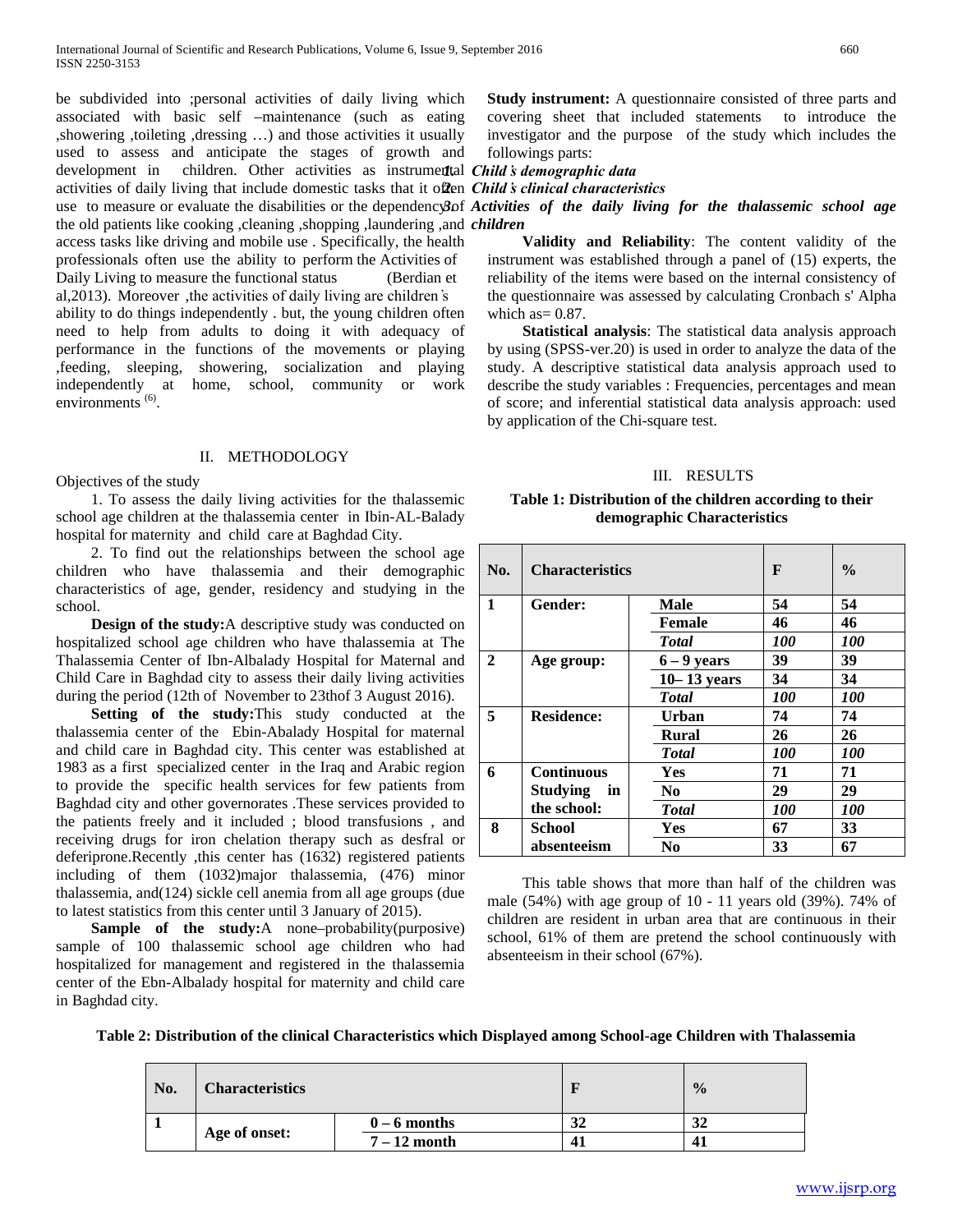be subdivided into ;personal activities of daily living which associated with basic self –maintenance (such as eating ,showering ,toileting ,dressing …) and those activities it usually used to assess and anticipate the stages of growth and development in children. Other activities as instrumental *Child's demographic data* activities of daily living that include domestic tasks that it often *2. Child ҆s clinical characteristics* the old patients like cooking ,cleaning ,shopping ,laundering ,and *children* access tasks like driving and mobile use . Specifically, the health professionals often use the ability to perform the Activities of Daily Living to measure the functional status (Berdian et al,2013). Moreover ,the activities of daily living are children ҆s ability to do things independently . but, the young children often need to help from adults to doing it with adequacy of performance in the functions of the movements or playing ,feeding, sleeping, showering, socialization and playing independently at home, school, community or work environments<sup>(6)</sup>.

#### II. METHODOLOGY

Objectives of the study

 1. To assess the daily living activities for the thalassemic school age children at the thalassemia center in Ibin-AL-Balady hospital for maternity and child care at Baghdad City.

 2. To find out the relationships between the school age children who have thalassemia and their demographic characteristics of age, gender, residency and studying in the school.

 **Design of the study:**A descriptive study was conducted on hospitalized school age children who have thalassemia at The Thalassemia Center of Ibn-Albalady Hospital for Maternal and Child Care in Baghdad city to assess their daily living activities during the period (12th of November to 23thof 3 August 2016).

**Setting of the study:**This study conducted at the thalassemia center of the Ebin-Abalady Hospital for maternal and child care in Baghdad city. This center was established at 1983 as a first specialized center in the Iraq and Arabic region to provide the specific health services for few patients from Baghdad city and other governorates .These services provided to the patients freely and it included ; blood transfusions , and receiving drugs for iron chelation therapy such as desfral or deferiprone.Recently ,this center has (1632) registered patients including of them (1032)major thalassemia, (476) minor thalassemia, and(124) sickle cell anemia from all age groups (due to latest statistics from this center until 3 January of 2015).

 **Sample of the study:**A none–probability(purposive) sample of 100 thalassemic school age children who had hospitalized for management and registered in the thalassemia center of the Ebn-Albalady hospital for maternity and child care in Baghdad city.

**Study instrument:** A questionnaire consisted of three parts and covering sheet that included statements to introduce the investigator and the purpose of the study which includes the followings parts:

use to measure or evaluate the disabilities or the dependency of *Activities of the daily living for the thalassemic school age* 

 **Validity and Reliability**: The content validity of the instrument was established through a panel of (15) experts, the reliability of the items were based on the internal consistency of the questionnaire was assessed by calculating Cronbach s' Alpha which as  $= 0.87$ .

 **Statistical analysis**: The statistical data analysis approach by using (SPSS-ver.20) is used in order to analyze the data of the study. A descriptive statistical data analysis approach used to describe the study variables : Frequencies, percentages and mean of score; and inferential statistical data analysis approach: used by application of the Chi-square test.

#### III. RESULTS

#### **Table 1: Distribution of the children according to their demographic Characteristics**

| No.          | <b>Characteristics</b> | F               | $\frac{0}{0}$     |                   |
|--------------|------------------------|-----------------|-------------------|-------------------|
| $\mathbf{1}$ | Gender:<br>Male        |                 | 54                | 54                |
|              |                        | <b>Female</b>   | 46                | 46                |
|              |                        | <b>Total</b>    | <i><b>100</b></i> | <i><b>100</b></i> |
| $\mathbf{2}$ | Age group:             | $6 - 9$ years   | 39                | 39                |
|              |                        | $10 - 13$ years | 34                | 34                |
|              |                        | <b>Total</b>    | <i><b>100</b></i> | <i><b>100</b></i> |
| 5            | <b>Residence:</b>      | Urban           | 74                | 74                |
|              |                        | <b>Rural</b>    | 26                | 26                |
|              |                        | <b>Total</b>    | <i><b>100</b></i> | <i><b>100</b></i> |
| 6            | <b>Continuous</b>      | Yes             | 71                | 71                |
|              | <b>Studying</b><br>in  | N <sub>0</sub>  | 29                | 29                |
|              | the school:            | <b>T</b> otal   | <i><b>100</b></i> | <i><b>100</b></i> |
| 8            | School                 | Yes             | 67                | 33                |
|              | absenteeism            | N <sub>0</sub>  | 33                | 67                |

 This table shows that more than half of the children was male (54%) with age group of 10 - 11 years old (39%). 74% of children are resident in urban area that are continuous in their school, 61% of them are pretend the school continuously with absenteeism in their school (67%).

**Table 2: Distribution of the clinical Characteristics which Displayed among School-age Children with Thalassemia**

| No. | <b>Characteristics</b> |                |     | $\frac{0}{0}$ |
|-----|------------------------|----------------|-----|---------------|
|     |                        | $0 - 6$ months | ے ت |               |
|     | Age of onset:          | $7-12$ month   | 41  |               |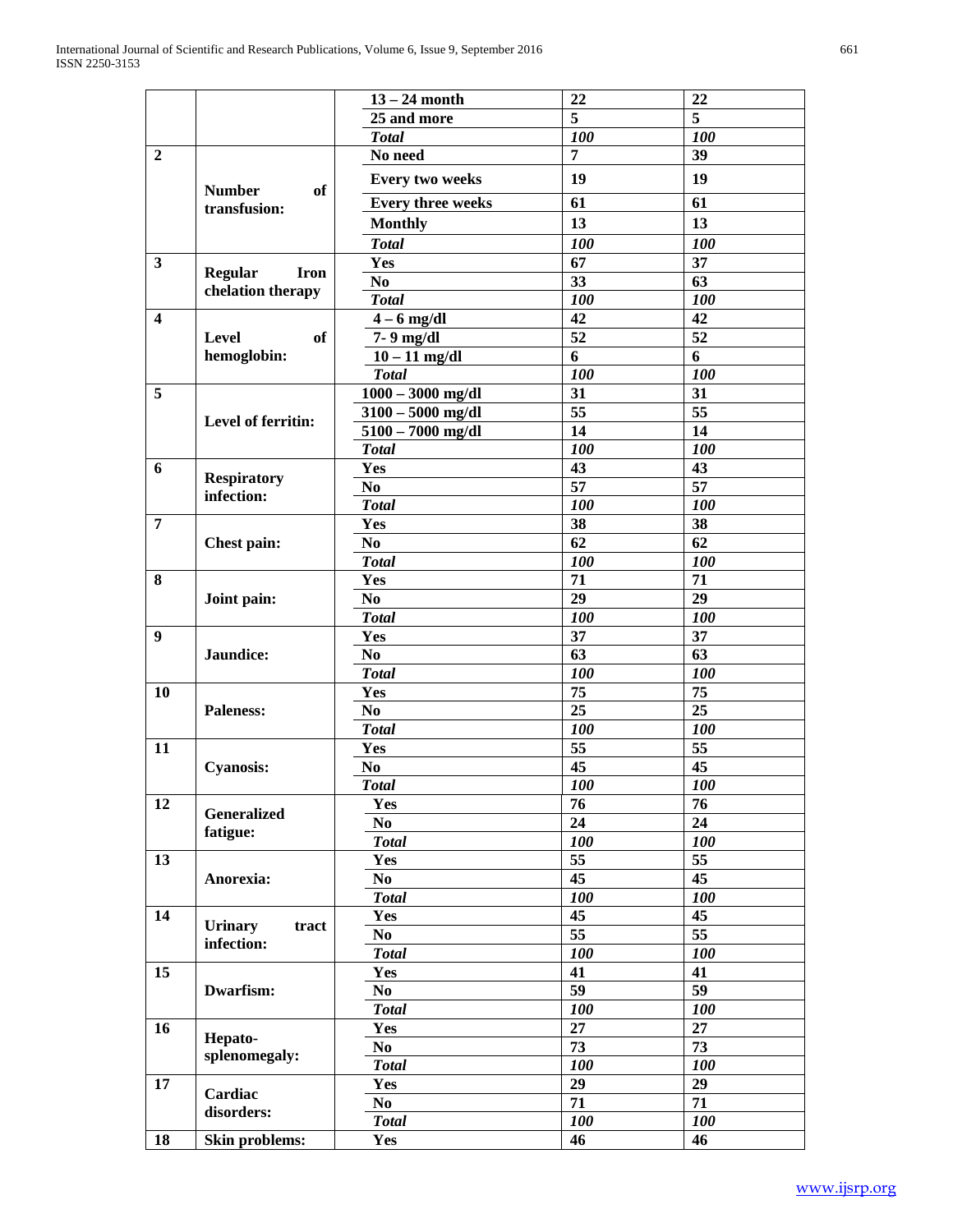|                |                                  | $13 - 24$ month          | 22  | 22         |
|----------------|----------------------------------|--------------------------|-----|------------|
|                |                                  | 25 and more              | 5   | 5          |
|                |                                  | <b>Total</b>             | 100 | <b>100</b> |
| $\overline{2}$ |                                  | No need                  | 7   | 39         |
|                | <b>Number</b><br>of              | <b>Every two weeks</b>   | 19  | 19         |
|                | transfusion:                     | <b>Every three weeks</b> | 61  | 61         |
|                |                                  | <b>Monthly</b>           | 13  | 13         |
|                |                                  | <b>Total</b>             | 100 | 100        |
| 3              |                                  | Yes                      | 67  | 37         |
|                | <b>Regular</b><br><b>Iron</b>    | N <sub>0</sub>           | 33  | 63         |
|                | chelation therapy                | <b>Total</b>             | 100 | 100        |
| 4              |                                  | $4 - 6$ mg/dl            | 42  | 42         |
|                | <b>Level</b><br>of               | 7-9 mg/dl                | 52  | 52         |
|                | hemoglobin:                      | $10 - 11$ mg/dl          | 6   | 6          |
|                |                                  | <b>Total</b>             | 100 | 100        |
| 5              |                                  | $1000 - 3000$ mg/dl      | 31  | 31         |
|                | Level of ferritin:               | $3100 - 5000$ mg/dl      | 55  | 55         |
|                |                                  | $5100 - 7000$ mg/dl      | 14  | 14         |
|                |                                  | <b>Total</b>             | 100 | 100        |
| 6              |                                  | Yes                      | 43  | 43         |
|                | <b>Respiratory</b><br>infection: | N <sub>0</sub>           | 57  | 57         |
|                |                                  | <b>Total</b>             | 100 | 100        |
| $\overline{7}$ |                                  | Yes                      | 38  | 38         |
|                | Chest pain:                      | N <sub>0</sub>           | 62  | 62         |
|                |                                  | <b>Total</b>             | 100 | 100        |
| 8              |                                  | Yes                      | 71  | 71         |
|                | Joint pain:                      | N <sub>0</sub>           | 29  | 29         |
|                |                                  | <b>Total</b>             | 100 | 100        |
| 9              |                                  | Yes                      | 37  | 37         |
|                | Jaundice:                        | N <sub>0</sub>           | 63  | 63         |
|                |                                  | <b>Total</b>             | 100 | 100        |
| 10             |                                  | Yes                      | 75  | 75         |
|                | <b>Paleness:</b>                 | N <sub>0</sub>           | 25  | 25         |
|                |                                  | <b>Total</b>             | 100 | 100        |
| 11             |                                  | Yes                      | 55  | 55         |
|                | <b>Cyanosis:</b>                 | N <sub>0</sub>           | 45  | 45         |
|                |                                  | <b>Total</b>             | 100 | <b>100</b> |
| 12             | Generalized                      | Yes                      | 76  | 76         |
|                | fatigue:                         | No                       | 24  | 24         |
|                |                                  | <b>Total</b>             | 100 | 100        |
| 13             |                                  | Yes                      | 55  | 55         |
|                | Anorexia:                        | No.                      | 45  | 45         |
|                |                                  | <b>Total</b>             | 100 | 100        |
| 14             | <b>Urinary</b><br>tract          | Yes                      | 45  | 45         |
|                | infection:                       | No.                      | 55  | 55         |
|                |                                  | <b>Total</b>             | 100 | 100        |
| 15             |                                  | Yes                      | 41  | 41         |
|                | Dwarfism:                        | No.                      | 59  | 59         |
|                |                                  | <b>Total</b>             | 100 | 100        |
| 16             | Hepato-                          | Yes                      | 27  | 27         |
|                | splenomegaly:                    | No.                      | 73  | 73         |
|                |                                  | <b>Total</b>             | 100 | 100        |
| 17             | Cardiac                          | Yes                      | 29  | 29         |
|                | disorders:                       | No.                      | 71  | 71         |
|                |                                  | <b>Total</b>             | 100 | 100        |
| 18             | Skin problems:                   | Yes                      | 46  | 46         |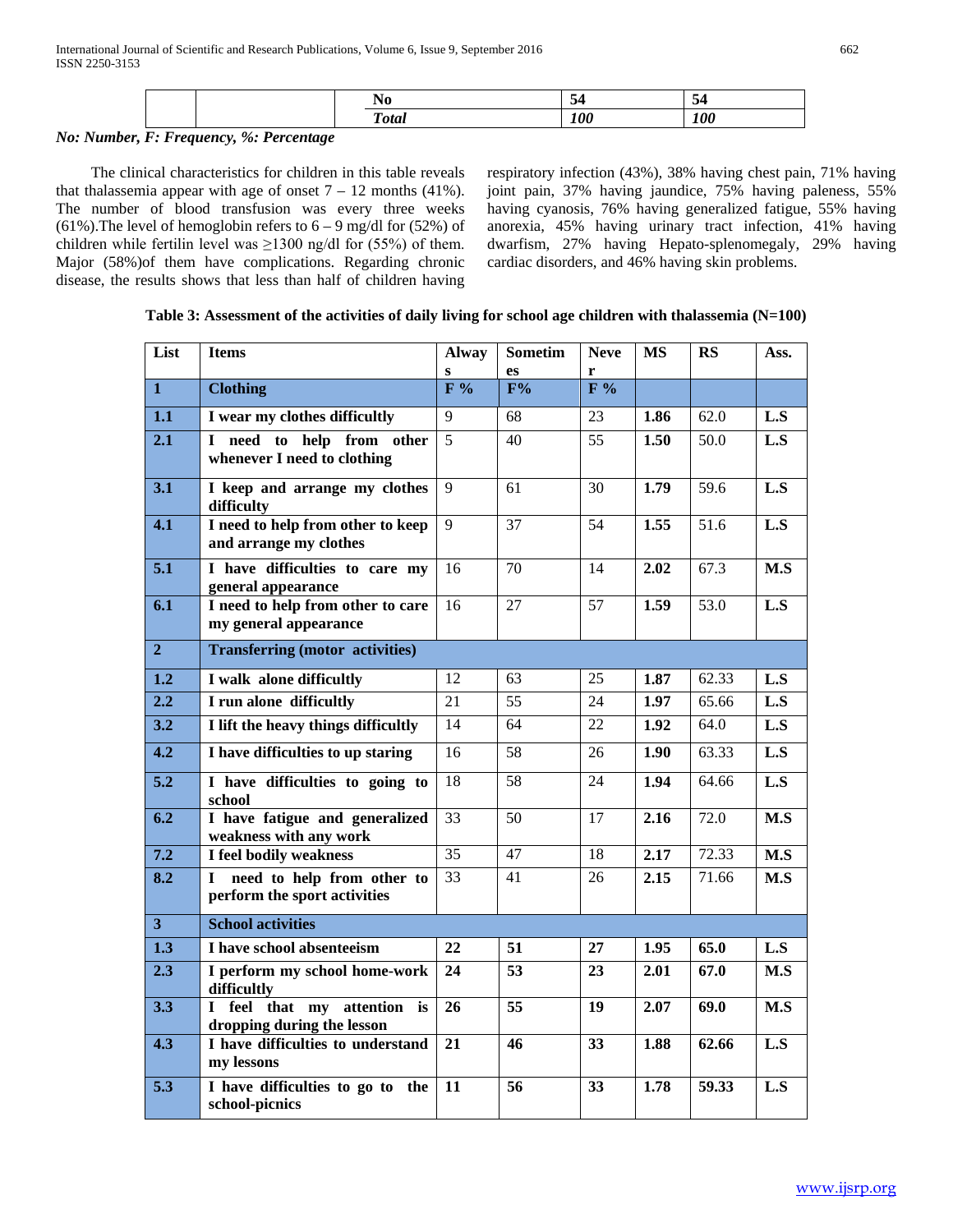|  | nta | $\sim$<br>''' | $\mathbf{A}$<br>UU. |
|--|-----|---------------|---------------------|
|  |     |               |                     |

# *No: Number, F: Frequency, %: Percentage*

 The clinical characteristics for children in this table reveals that thalassemia appear with age of onset  $7 - 12$  months (41%). The number of blood transfusion was every three weeks (61%). The level of hemoglobin refers to  $6 - 9$  mg/dl for (52%) of children while fertilin level was  $\geq$ 1300 ng/dl for (55%) of them. Major (58%)of them have complications. Regarding chronic disease, the results shows that less than half of children having respiratory infection (43%), 38% having chest pain, 71% having joint pain, 37% having jaundice, 75% having paleness, 55% having cyanosis, 76% having generalized fatigue, 55% having anorexia, 45% having urinary tract infection, 41% having dwarfism, 27% having Hepato-splenomegaly, 29% having cardiac disorders, and 46% having skin problems.

| List             | <b>Items</b>                                                 | <b>Alway</b><br>S | <b>Sometim</b><br><b>es</b> | <b>Neve</b><br>r | <b>MS</b> | RS                 | Ass.             |
|------------------|--------------------------------------------------------------|-------------------|-----------------------------|------------------|-----------|--------------------|------------------|
| $\mathbf{1}$     | <b>Clothing</b>                                              | F%                | F%                          | F%               |           |                    |                  |
| 1.1              | I wear my clothes difficultly                                | 9                 | 68                          | 23               | 1.86      | 62.0               | L.S              |
| 2.1              | I need to help from other<br>whenever I need to clothing     | 5                 | 40                          | 55               | 1.50      | 50.0               | L.S              |
| 3.1              | I keep and arrange my clothes<br>difficulty                  | 9                 | 61                          | 30               | 1.79      | 59.6               | L.S              |
| 4.1              | I need to help from other to keep<br>and arrange my clothes  | 9                 | 37                          | 54               | 1.55      | 51.6               | $\overline{L.S}$ |
| 5.1              | I have difficulties to care my<br>general appearance         | 16                | 70                          | 14               | 2.02      | 67.3               | M.S              |
| 6.1              | I need to help from other to care<br>my general appearance   | 16                | 27                          | 57               | 1.59      | 53.0               | L.S              |
| 2 <sup>1</sup>   | <b>Transferring (motor activities)</b>                       |                   |                             |                  |           |                    |                  |
| 1.2              | I walk alone difficultly                                     | 12                | 63                          | 25               | 1.87      | 62.33              | L.S              |
| $\overline{2.2}$ | I run alone difficultly                                      | 21                | 55                          | 24               | 1.97      | 65.66              | L.S              |
| 3.2              | I lift the heavy things difficultly                          | 14                | 64                          | 22               | 1.92      | 64.0               | L.S              |
| $\overline{4.2}$ | I have difficulties to up staring                            | 16                | $\overline{58}$             | 26               | 1.90      | 63.33              | $\overline{L.S}$ |
| 5.2              | I have difficulties to going to<br>school                    | 18                | 58                          | 24               | 1.94      | 64.66              | L.S              |
| 6.2              | I have fatigue and generalized<br>weakness with any work     | 33                | 50                          | 17               | 2.16      | 72.0               | M.S              |
| 7.2              | I feel bodily weakness                                       | $\overline{35}$   | 47                          | 18               | 2.17      | 72.33              | M.S              |
| 8.2              | I need to help from other to<br>perform the sport activities | 33                | 41                          | 26               | 2.15      | 71.66              | M.S              |
| 3 <sup>1</sup>   | <b>School activities</b>                                     |                   |                             |                  |           |                    |                  |
| $\overline{1.3}$ | I have school absenteeism                                    | 22                | 51                          | 27               | 1.95      | 65.0               | L.S              |
| $\overline{2.3}$ | I perform my school home-work<br>difficultly                 | 24                | 53                          | 23               | 2.01      | 67.0               | M.S              |
| 3.3              | I feel that my attention is<br>dropping during the lesson    | 26                | 55                          | 19               | 2.07      | 69.0               | M.S              |
| 4.3              | I have difficulties to understand<br>my lessons              | 21                | 46                          | 33               | 1.88      | 62.66              | L.S              |
| $\overline{5.3}$ | I have difficulties to go to the<br>school-picnics           | $\overline{11}$   | $\overline{56}$             | $\overline{33}$  | 1.78      | $\overline{59.33}$ | $\overline{L.S}$ |

# **Table 3: Assessment of the activities of daily living for school age children with thalassemia (N=100)**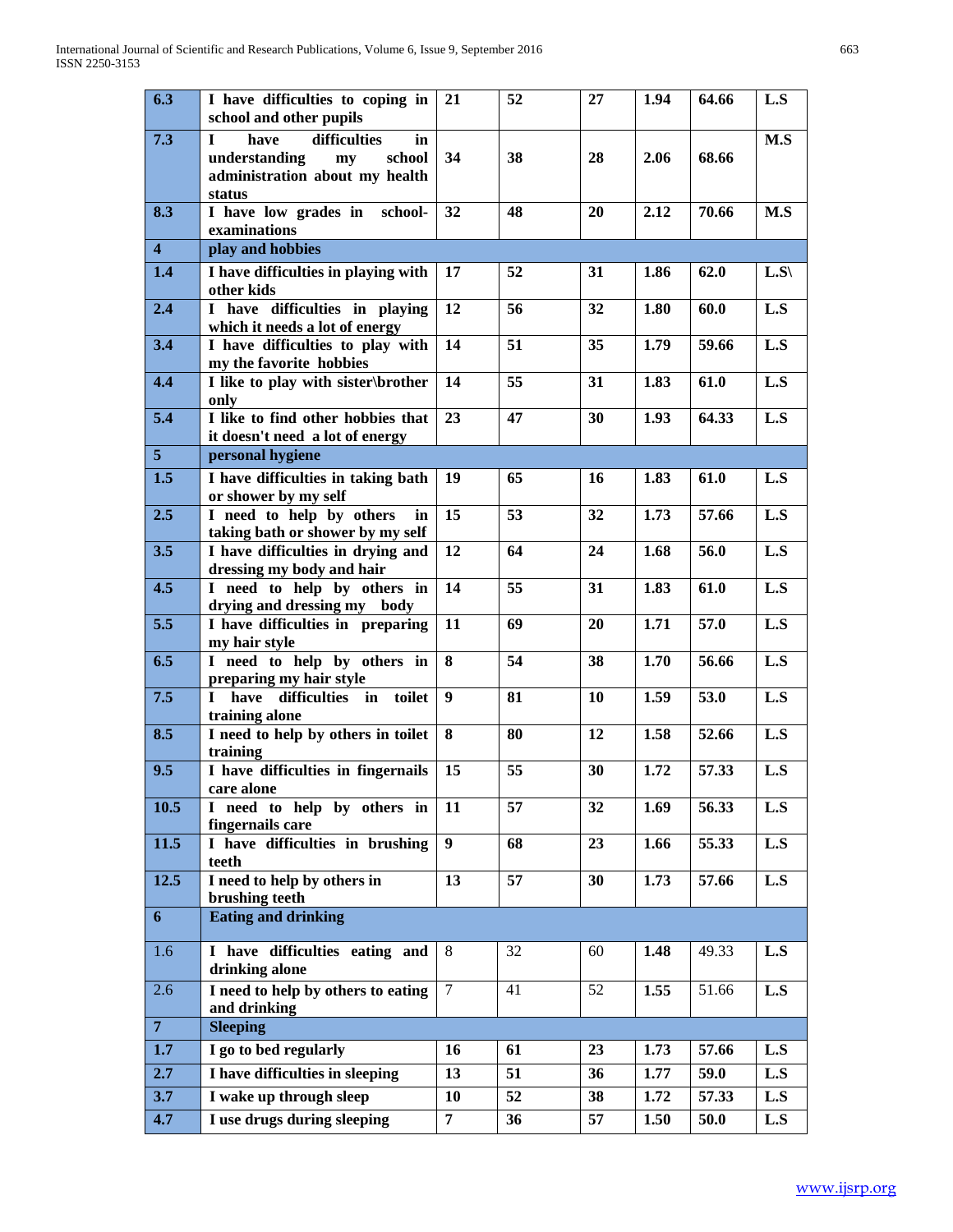| 6.3                     | I have difficulties to coping in<br>school and other pupils                                                             | 21               | 52       | 27       | 1.94         | 64.66          | L.S        |
|-------------------------|-------------------------------------------------------------------------------------------------------------------------|------------------|----------|----------|--------------|----------------|------------|
| 7.3                     | $\mathbf{I}$<br>difficulties<br>have<br>in<br>understanding<br>school<br>my<br>administration about my health<br>status | 34               | 38       | 28       | 2.06         | 68.66          | M.S        |
| 8.3                     | I have low grades in<br>school-<br>examinations                                                                         | 32               | 48       | 20       | 2.12         | 70.66          | M.S        |
| $\overline{\mathbf{4}}$ | play and hobbies                                                                                                        |                  |          |          |              |                |            |
| 1.4                     | I have difficulties in playing with<br>other kids                                                                       | 17               | 52       | 31       | 1.86         | 62.0           | L.S        |
| 2.4                     | I have difficulties in playing<br>which it needs a lot of energy                                                        | 12               | 56       | 32       | 1.80         | 60.0           | L.S        |
| 3.4                     | I have difficulties to play with<br>my the favorite hobbies                                                             | 14               | 51       | 35       | 1.79         | 59.66          | L.S        |
| 4.4                     | I like to play with sister\brother<br>only                                                                              | 14               | 55       | 31       | 1.83         | 61.0           | L.S        |
| 5.4                     | I like to find other hobbies that<br>it doesn't need a lot of energy                                                    | 23               | 47       | 30       | 1.93         | 64.33          | L.S        |
| 5 <sup>1</sup>          | personal hygiene                                                                                                        |                  |          |          |              |                |            |
| 1.5                     | I have difficulties in taking bath<br>or shower by my self                                                              | 19               | 65       | 16       | 1.83         | 61.0           | L.S        |
| 2.5                     | I need to help by others<br>in<br>taking bath or shower by my self                                                      | 15               | 53       | 32       | 1.73         | 57.66          | L.S        |
| 3.5                     | I have difficulties in drying and<br>dressing my body and hair                                                          | 12               | 64       | 24       | 1.68         | 56.0           | L.S        |
| 4.5                     | I need to help by others in<br>drying and dressing my body                                                              | 14               | 55       | 31       | 1.83         | 61.0           | L.S        |
| 5.5                     | I have difficulties in preparing<br>my hair style                                                                       | 11               | 69       | 20       | 1.71         | 57.0           | L.S        |
| 6.5                     | I need to help by others in<br>preparing my hair style                                                                  | 8                | 54       | 38       | 1.70         | 56.66          | L.S        |
| 7.5                     | have difficulties in toilet<br>$\mathbf{I}$<br>training alone                                                           | $\boldsymbol{9}$ | 81<br>80 | 10<br>12 | 1.59         | 53.0           | L.S<br>L.S |
| 8.5<br>9.5              | I need to help by others in toilet<br>training<br>I have difficulties in fingernails                                    | 8<br>15          | 55       | 30       | 1.58<br>1.72 | 52.66<br>57.33 | L.S        |
| 10.5                    | care alone<br>I need to help by others in                                                                               |                  | 57       | 32       | 1.69         | 56.33          |            |
|                         | fingernails care                                                                                                        | 11               |          |          |              |                | L.S        |
| 11.5                    | I have difficulties in brushing<br>teeth                                                                                | $\boldsymbol{9}$ | 68       | 23       | 1.66         | 55.33          | L.S        |
| 12.5                    | I need to help by others in<br>brushing teeth                                                                           | 13               | 57       | 30       | 1.73         | 57.66          | L.S        |
| 6                       | <b>Eating and drinking</b>                                                                                              |                  |          |          |              |                |            |
| 1.6                     | I have difficulties eating and<br>drinking alone                                                                        | 8                | 32       | 60       | 1.48         | 49.33          | L.S        |
| 2.6                     | I need to help by others to eating<br>and drinking                                                                      | $\tau$           | 41       | 52       | 1.55         | 51.66          | L.S        |
| $\overline{7}$          | <b>Sleeping</b>                                                                                                         |                  |          |          |              |                |            |
| 1.7                     | $\overline{I}$ go to bed regularly                                                                                      | 16               | 61       | 23       | 1.73         | 57.66          | L.S        |
| 2.7                     | I have difficulties in sleeping                                                                                         | 13               | 51       | 36       | 1.77         | 59.0           | L.S        |
| 3.7                     | I wake up through sleep                                                                                                 | <b>10</b>        | 52       | 38       | 1.72         | 57.33          | L.S        |
| 4.7                     | I use drugs during sleeping                                                                                             | $\overline{7}$   | 36       | 57       | 1.50         | 50.0           | L.S        |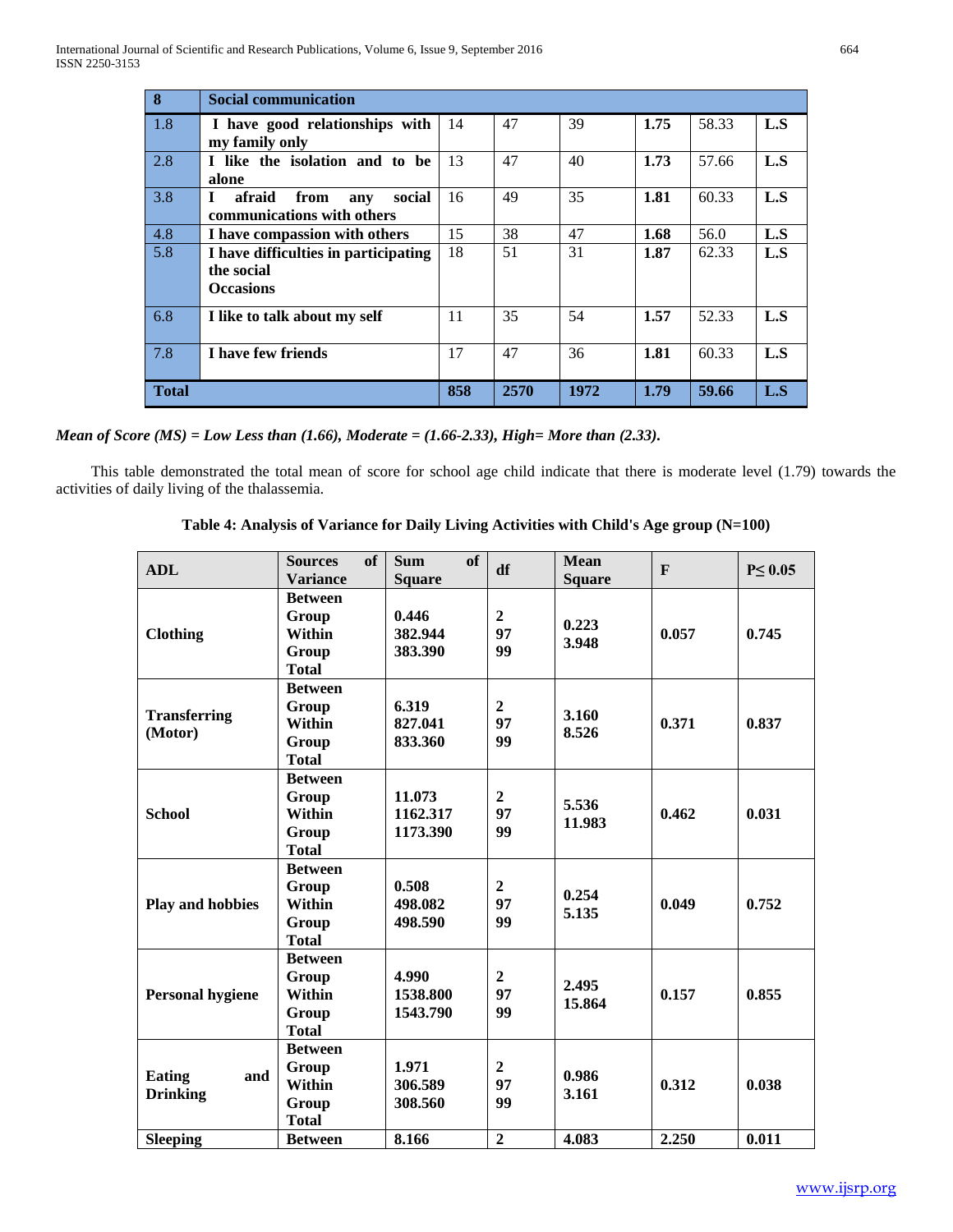| $\overline{\mathbf{8}}$ | <b>Social communication</b>                                            |     |      |      |      |       |     |
|-------------------------|------------------------------------------------------------------------|-----|------|------|------|-------|-----|
| 1.8                     | I have good relationships with<br>my family only                       | 14  | 47   | 39   | 1.75 | 58.33 | L.S |
| 2.8                     | I like the isolation and to be<br>alone                                | 13  | 47   | 40   | 1.73 | 57.66 | L.S |
| 3.8                     | afraid<br>from<br>social<br>L<br>any<br>communications with others     | 16  | 49   | 35   | 1.81 | 60.33 | L.S |
| 4.8                     | I have compassion with others                                          | 15  | 38   | 47   | 1.68 | 56.0  | L.S |
| 5.8                     | I have difficulties in participating<br>the social<br><b>Occasions</b> | 18  | 51   | 31   | 1.87 | 62.33 | L.S |
| 6.8                     | I like to talk about my self                                           | 11  | 35   | 54   | 1.57 | 52.33 | L.S |
| 7.8                     | I have few friends                                                     | 17  | 47   | 36   | 1.81 | 60.33 | L.S |
| <b>Total</b>            |                                                                        | 858 | 2570 | 1972 | 1.79 | 59.66 | L.S |

|  |  |  |  |  |  |  | Mean of Score (MS) = Low Less than $(1.66)$ , Moderate = $(1.66{\text -}2.33)$ , High= More than $(2.33)$ . |  |
|--|--|--|--|--|--|--|-------------------------------------------------------------------------------------------------------------|--|
|--|--|--|--|--|--|--|-------------------------------------------------------------------------------------------------------------|--|

 This table demonstrated the total mean of score for school age child indicate that there is moderate level (1.79) towards the activities of daily living of the thalassemia.

|  |  |  |  | Table 4: Analysis of Variance for Daily Living Activities with Child's Age group (N=100) |
|--|--|--|--|------------------------------------------------------------------------------------------|
|--|--|--|--|------------------------------------------------------------------------------------------|

| <b>ADL</b>                              | of<br><b>Sources</b><br><b>Variance</b>                           | <b>of</b><br><b>Sum</b><br><b>Square</b> | df                         | <b>Mean</b><br><b>Square</b> | $\mathbf{F}$ | $P \leq 0.05$ |
|-----------------------------------------|-------------------------------------------------------------------|------------------------------------------|----------------------------|------------------------------|--------------|---------------|
| <b>Clothing</b>                         | <b>Between</b><br>Group<br><b>Within</b><br>Group<br><b>Total</b> | 0.446<br>382.944<br>383.390              | $\overline{2}$<br>97<br>99 | 0.223<br>3.948               | 0.057        | 0.745         |
| <b>Transferring</b><br>(Motor)          | <b>Between</b><br>Group<br><b>Within</b><br>Group<br><b>Total</b> | 6.319<br>827.041<br>833.360              | $\overline{2}$<br>97<br>99 | 3.160<br>8.526               | 0.371        | 0.837         |
| <b>School</b>                           | <b>Between</b><br>Group<br>Within<br>Group<br><b>Total</b>        | 11.073<br>1162.317<br>1173.390           | $\overline{2}$<br>97<br>99 | 5.536<br>11.983              | 0.462        | 0.031         |
| <b>Play and hobbies</b>                 | <b>Between</b><br>Group<br><b>Within</b><br>Group<br><b>Total</b> | 0.508<br>498.082<br>498.590              | $\overline{2}$<br>97<br>99 | 0.254<br>5.135               | 0.049        | 0.752         |
| <b>Personal hygiene</b>                 | <b>Between</b><br>Group<br><b>Within</b><br>Group<br><b>Total</b> | 4.990<br>1538.800<br>1543.790            | $\overline{2}$<br>97<br>99 | 2.495<br>15.864              | 0.157        | 0.855         |
| <b>Eating</b><br>and<br><b>Drinking</b> | <b>Between</b><br>Group<br>Within<br>Group<br><b>Total</b>        | 1.971<br>306.589<br>308.560              | $\overline{2}$<br>97<br>99 | 0.986<br>3.161               | 0.312        | 0.038         |
| <b>Sleeping</b>                         | <b>Between</b>                                                    | 8.166                                    | $\overline{2}$             | 4.083                        | 2.250        | 0.011         |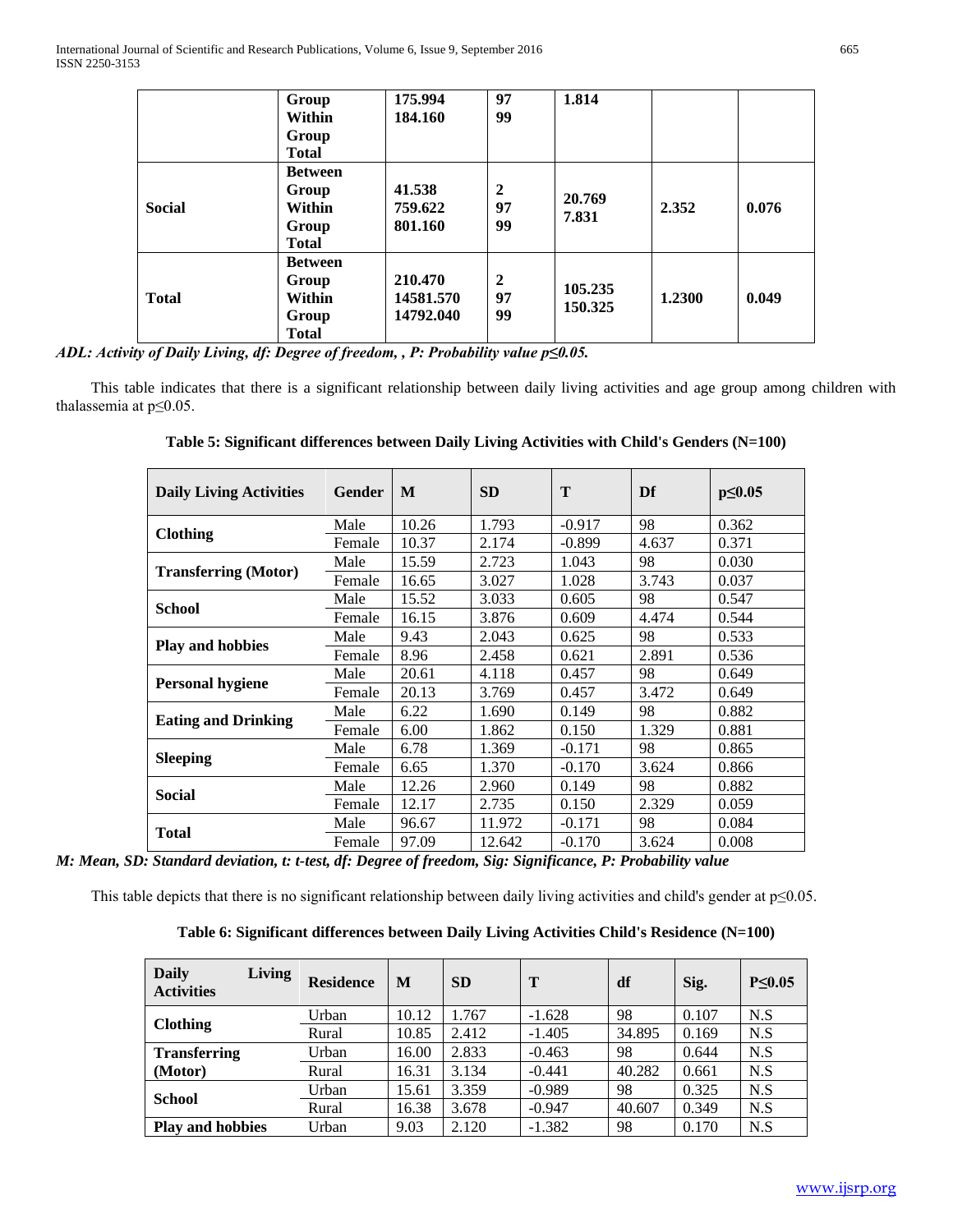|               | Group<br>Within<br>Group<br><b>Total</b>                   | 175.994<br>184.160                | 97<br>99                   | 1.814              |        |       |
|---------------|------------------------------------------------------------|-----------------------------------|----------------------------|--------------------|--------|-------|
| <b>Social</b> | <b>Between</b><br>Group<br>Within<br>Group<br><b>Total</b> | 41.538<br>759.622<br>801.160      | $\overline{2}$<br>97<br>99 | 20.769<br>7.831    | 2.352  | 0.076 |
| <b>Total</b>  | <b>Between</b><br>Group<br>Within<br>Group<br><b>Total</b> | 210.470<br>14581.570<br>14792.040 | $\overline{2}$<br>97<br>99 | 105.235<br>150.325 | 1.2300 | 0.049 |

*ADL: Activity of Daily Living, df: Degree of freedom, , P: Probability value p≤0.05.*

 This table indicates that there is a significant relationship between daily living activities and age group among children with thalassemia at p≤0.05.

| Table 5: Significant differences between Daily Living Activities with Child's Genders (N=100) |  |  |  |  |  |
|-----------------------------------------------------------------------------------------------|--|--|--|--|--|
|-----------------------------------------------------------------------------------------------|--|--|--|--|--|

| <b>Daily Living Activities</b> | <b>Gender</b> | M     | <b>SD</b> | T        | Df    | $p \le 0.05$ |
|--------------------------------|---------------|-------|-----------|----------|-------|--------------|
|                                | Male          | 10.26 | 1.793     | $-0.917$ | 98    | 0.362        |
| <b>Clothing</b>                | Female        | 10.37 | 2.174     | $-0.899$ | 4.637 | 0.371        |
| <b>Transferring (Motor)</b>    | Male          | 15.59 | 2.723     | 1.043    | 98    | 0.030        |
|                                | Female        | 16.65 | 3.027     | 1.028    | 3.743 | 0.037        |
| School                         | Male          | 15.52 | 3.033     | 0.605    | 98    | 0.547        |
|                                | Female        | 16.15 | 3.876     | 0.609    | 4.474 | 0.544        |
|                                | Male          | 9.43  | 2.043     | 0.625    | 98    | 0.533        |
| <b>Play and hobbies</b>        | Female        | 8.96  | 2.458     | 0.621    | 2.891 | 0.536        |
|                                | Male          | 20.61 | 4.118     | 0.457    | 98    | 0.649        |
| <b>Personal hygiene</b>        | Female        | 20.13 | 3.769     | 0.457    | 3.472 | 0.649        |
|                                | Male          | 6.22  | 1.690     | 0.149    | 98    | 0.882        |
| <b>Eating and Drinking</b>     | Female        | 6.00  | 1.862     | 0.150    | 1.329 | 0.881        |
|                                | Male          | 6.78  | 1.369     | $-0.171$ | 98    | 0.865        |
| <b>Sleeping</b>                | Female        | 6.65  | 1.370     | $-0.170$ | 3.624 | 0.866        |
| <b>Social</b>                  | Male          | 12.26 | 2.960     | 0.149    | 98    | 0.882        |
|                                | Female        | 12.17 | 2.735     | 0.150    | 2.329 | 0.059        |
|                                | Male          | 96.67 | 11.972    | $-0.171$ | 98    | 0.084        |
| <b>Total</b>                   | Female        | 97.09 | 12.642    | $-0.170$ | 3.624 | 0.008        |

*M: Mean, SD: Standard deviation, t: t-test, df: Degree of freedom, Sig: Significance, P: Probability value*

This table depicts that there is no significant relationship between daily living activities and child's gender at p≤0.05.

| Table 6: Significant differences between Daily Living Activities Child's Residence (N=100) |  |  |  |  |
|--------------------------------------------------------------------------------------------|--|--|--|--|
|--------------------------------------------------------------------------------------------|--|--|--|--|

| <b>Daily</b><br><b>Activities</b> | <b>Living</b> | <b>Residence</b> | M     | <b>SD</b> | T        | df     | Sig.  | $P \leq 0.05$ |
|-----------------------------------|---------------|------------------|-------|-----------|----------|--------|-------|---------------|
| <b>Clothing</b>                   |               | Urban            | 10.12 | 1.767     | $-1.628$ | 98     | 0.107 | N.S           |
|                                   | Rural         | 10.85            | 2.412 | $-1.405$  | 34.895   | 0.169  | N.S   |               |
| <b>Transferring</b>               |               | Urban            | 16.00 | 2.833     | $-0.463$ | 98     | 0.644 | N.S           |
| (Motor)                           |               | Rural            | 16.31 | 3.134     | $-0.441$ | 40.282 | 0.661 | N.S           |
| <b>School</b>                     | Urban         | 15.61            | 3.359 | $-0.989$  | 98       | 0.325  | N.S   |               |
|                                   | Rural         | 16.38            | 3.678 | $-0.947$  | 40.607   | 0.349  | N.S   |               |
| <b>Play and hobbies</b>           |               | Urban            | 9.03  | 2.120     | $-1.382$ | 98     | 0.170 | N.S           |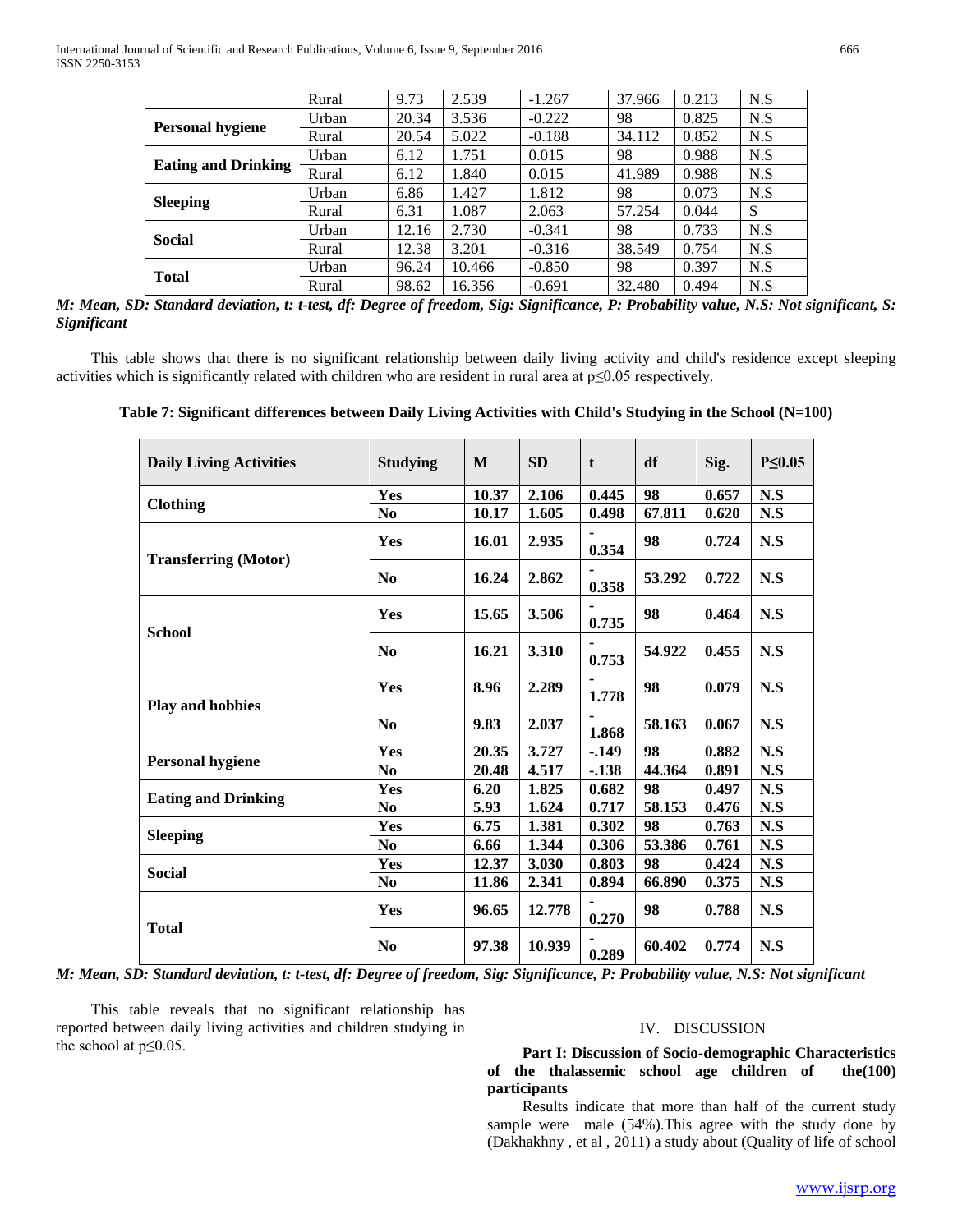|                            | Rural | 9.73  | 2.539  | $-1.267$ | 37.966 | 0.213 | N.S |
|----------------------------|-------|-------|--------|----------|--------|-------|-----|
| <b>Personal hygiene</b>    | Urban | 20.34 | 3.536  | $-0.222$ | 98     | 0.825 | N.S |
|                            | Rural | 20.54 | 5.022  | $-0.188$ | 34.112 | 0.852 | N.S |
| <b>Eating and Drinking</b> | Urban | 6.12  | 1.751  | 0.015    | 98     | 0.988 | N.S |
|                            | Rural | 6.12  | 1.840  | 0.015    | 41.989 | 0.988 | N.S |
| <b>Sleeping</b>            | Urban | 6.86  | 1.427  | 1.812    | 98     | 0.073 | N.S |
|                            | Rural | 6.31  | 1.087  | 2.063    | 57.254 | 0.044 | S   |
| <b>Social</b>              | Urban | 12.16 | 2.730  | $-0.341$ | 98     | 0.733 | N.S |
|                            | Rural | 12.38 | 3.201  | $-0.316$ | 38.549 | 0.754 | N.S |
| <b>Total</b>               | Urban | 96.24 | 10.466 | $-0.850$ | 98     | 0.397 | N.S |
|                            | Rural | 98.62 | 16.356 | $-0.691$ | 32.480 | 0.494 | N.S |

*M: Mean, SD: Standard deviation, t: t-test, df: Degree of freedom, Sig: Significance, P: Probability value, N.S: Not significant, S: Significant*

 This table shows that there is no significant relationship between daily living activity and child's residence except sleeping activities which is significantly related with children who are resident in rural area at p≤0.05 respectively.

**Table 7: Significant differences between Daily Living Activities with Child's Studying in the School (N=100)**

| <b>Daily Living Activities</b> | <b>Studying</b> | M     | <b>SD</b> | t       | df     | Sig.  | $P \leq 0.05$ |
|--------------------------------|-----------------|-------|-----------|---------|--------|-------|---------------|
|                                | Yes             | 10.37 | 2.106     | 0.445   | 98     | 0.657 | N.S           |
| <b>Clothing</b>                | N <sub>0</sub>  | 10.17 | 1.605     | 0.498   | 67.811 | 0.620 | N.S           |
| <b>Transferring (Motor)</b>    | Yes             | 16.01 | 2.935     | 0.354   | 98     | 0.724 | N.S           |
|                                | N <sub>0</sub>  | 16.24 | 2.862     | 0.358   | 53.292 | 0.722 | N.S           |
| <b>School</b>                  | Yes             | 15.65 | 3.506     | 0.735   | 98     | 0.464 | N.S           |
|                                | N <sub>0</sub>  | 16.21 | 3.310     | 0.753   | 54.922 | 0.455 | N.S           |
|                                | <b>Yes</b>      | 8.96  | 2.289     | 1.778   | 98     | 0.079 | N.S           |
| <b>Play and hobbies</b>        | N <sub>0</sub>  | 9.83  | 2.037     | 1.868   | 58.163 | 0.067 | N.S           |
|                                | Yes             | 20.35 | 3.727     | $-.149$ | 98     | 0.882 | N.S           |
| <b>Personal hygiene</b>        | N <sub>0</sub>  | 20.48 | 4.517     | $-.138$ | 44.364 | 0.891 | N.S           |
| <b>Eating and Drinking</b>     | Yes             | 6.20  | 1.825     | 0.682   | 98     | 0.497 | N.S           |
|                                | No              | 5.93  | 1.624     | 0.717   | 58.153 | 0.476 | N.S           |
|                                | Yes             | 6.75  | 1.381     | 0.302   | 98     | 0.763 | N.S           |
| <b>Sleeping</b>                | N <sub>0</sub>  | 6.66  | 1.344     | 0.306   | 53.386 | 0.761 | N.S           |
|                                | Yes             | 12.37 | 3.030     | 0.803   | 98     | 0.424 | N.S           |
| <b>Social</b>                  | N <sub>0</sub>  | 11.86 | 2.341     | 0.894   | 66.890 | 0.375 | N.S           |
| <b>Total</b>                   | Yes             | 96.65 | 12.778    | 0.270   | 98     | 0.788 | N.S           |
|                                | N <sub>0</sub>  | 97.38 | 10.939    | 0.289   | 60.402 | 0.774 | N.S           |

*M: Mean, SD: Standard deviation, t: t-test, df: Degree of freedom, Sig: Significance, P: Probability value, N.S: Not significant*

 This table reveals that no significant relationship has reported between daily living activities and children studying in the school at  $p \leq 0.05$ .

# IV. DISCUSSION

 **Part I: Discussion of Socio-demographic Characteristics**  of the thalassemic school age children of **participants**

 Results indicate that more than half of the current study sample were male (54%).This agree with the study done by (Dakhakhny , et al , 2011) a study about (Quality of life of school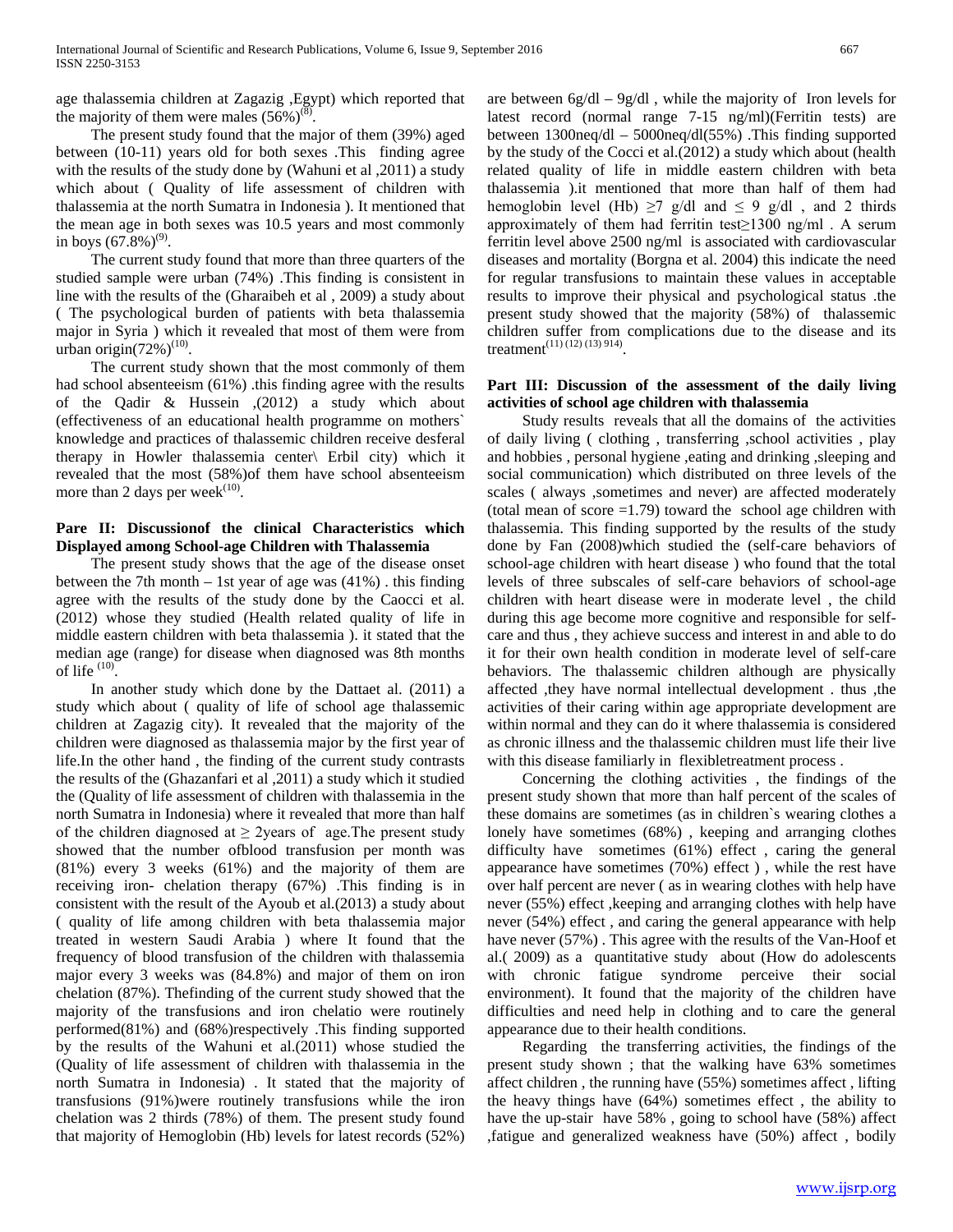age thalassemia children at Zagazig ,Egypt) which reported that the majority of them were males  $(56\%)^{(8)}$ .

 The present study found that the major of them (39%) aged between (10-11) years old for both sexes .This finding agree with the results of the study done by (Wahuni et al ,2011) a study which about ( Quality of life assessment of children with thalassemia at the north Sumatra in Indonesia ). It mentioned that the mean age in both sexes was 10.5 years and most commonly in boys  $(67.8\%)^{(9)}$ .

 The current study found that more than three quarters of the studied sample were urban (74%) .This finding is consistent in line with the results of the (Gharaibeh et al , 2009) a study about ( The psychological burden of patients with beta thalassemia major in Syria ) which it revealed that most of them were from urban origin $(72\%)^{(10)}$ .

 The current study shown that the most commonly of them had school absenteeism (61%) .this finding agree with the results of the Qadir & Hussein ,(2012) a study which about (effectiveness of an educational health programme on mothers` knowledge and practices of thalassemic children receive desferal therapy in Howler thalassemia center\ Erbil city) which it revealed that the most (58%)of them have school absenteeism more than 2 days per week $^{(10)}$ .

# **Pare II: Discussionof the clinical Characteristics which Displayed among School-age Children with Thalassemia**

 The present study shows that the age of the disease onset between the 7th month – 1st year of age was (41%) . this finding agree with the results of the study done by the Caocci et al. (2012) whose they studied (Health related quality of life in middle eastern children with beta thalassemia ). it stated that the median age (range) for disease when diagnosed was 8th months of life  $(10)$ .

 In another study which done by the Dattaet al. (2011) a study which about ( quality of life of school age thalassemic children at Zagazig city). It revealed that the majority of the children were diagnosed as thalassemia major by the first year of life.In the other hand , the finding of the current study contrasts the results of the (Ghazanfari et al ,2011) a study which it studied the (Quality of life assessment of children with thalassemia in the north Sumatra in Indonesia) where it revealed that more than half of the children diagnosed at  $\geq$  2years of age. The present study showed that the number ofblood transfusion per month was (81%) every 3 weeks (61%) and the majority of them are receiving iron- chelation therapy (67%) .This finding is in consistent with the result of the Ayoub et al.(2013) a study about ( quality of life among children with beta thalassemia major treated in western Saudi Arabia ) where It found that the frequency of blood transfusion of the children with thalassemia major every 3 weeks was (84.8%) and major of them on iron chelation (87%). Thefinding of the current study showed that the majority of the transfusions and iron chelatio were routinely performed(81%) and (68%)respectively .This finding supported by the results of the Wahuni et al.(2011) whose studied the (Quality of life assessment of children with thalassemia in the north Sumatra in Indonesia) . It stated that the majority of transfusions (91%)were routinely transfusions while the iron chelation was 2 thirds (78%) of them. The present study found that majority of Hemoglobin (Hb) levels for latest records (52%) are between  $6g/dl - 9g/dl$ , while the majority of Iron levels for latest record (normal range 7-15 ng/ml)(Ferritin tests) are between 1300neq/dl – 5000neq/dl(55%) .This finding supported by the study of the Cocci et al.(2012) a study which about (health related quality of life in middle eastern children with beta thalassemia ).it mentioned that more than half of them had hemoglobin level (Hb)  $\geq$ 7 g/dl and  $\leq$  9 g/dl, and 2 thirds approximately of them had ferritin test≥1300 ng/ml . A serum ferritin level above 2500 ng/ml is associated with cardiovascular diseases and mortality (Borgna et al. 2004) this indicate the need for regular transfusions to maintain these values in acceptable results to improve their physical and psychological status .the present study showed that the majority (58%) of thalassemic children suffer from complications due to the disease and its treatment<sup>(11)</sup> (12) (13) 914).

### **Part III: Discussion of the assessment of the daily living activities of school age children with thalassemia**

 Study results reveals that all the domains of the activities of daily living ( clothing , transferring ,school activities , play and hobbies , personal hygiene ,eating and drinking ,sleeping and social communication) which distributed on three levels of the scales ( always ,sometimes and never) are affected moderately (total mean of score  $=1.79$ ) toward the school age children with thalassemia. This finding supported by the results of the study done by Fan (2008)which studied the (self-care behaviors of school-age children with heart disease ) who found that the total levels of three subscales of self-care behaviors of school-age children with heart disease were in moderate level , the child during this age become more cognitive and responsible for selfcare and thus , they achieve success and interest in and able to do it for their own health condition in moderate level of self-care behaviors. The thalassemic children although are physically affected ,they have normal intellectual development . thus ,the activities of their caring within age appropriate development are within normal and they can do it where thalassemia is considered as chronic illness and the thalassemic children must life their live with this disease familiarly in flexibletreatment process .

 Concerning the clothing activities , the findings of the present study shown that more than half percent of the scales of these domains are sometimes (as in children`s wearing clothes a lonely have sometimes (68%) , keeping and arranging clothes difficulty have sometimes (61%) effect , caring the general appearance have sometimes (70%) effect ) , while the rest have over half percent are never ( as in wearing clothes with help have never (55%) effect ,keeping and arranging clothes with help have never (54%) effect , and caring the general appearance with help have never (57%) . This agree with the results of the Van-Hoof et al.( 2009) as a quantitative study about (How do adolescents with chronic fatigue syndrome perceive their social environment). It found that the majority of the children have difficulties and need help in clothing and to care the general appearance due to their health conditions.

 Regarding the transferring activities, the findings of the present study shown ; that the walking have 63% sometimes affect children , the running have (55%) sometimes affect , lifting the heavy things have (64%) sometimes effect , the ability to have the up-stair have 58% , going to school have (58%) affect ,fatigue and generalized weakness have (50%) affect , bodily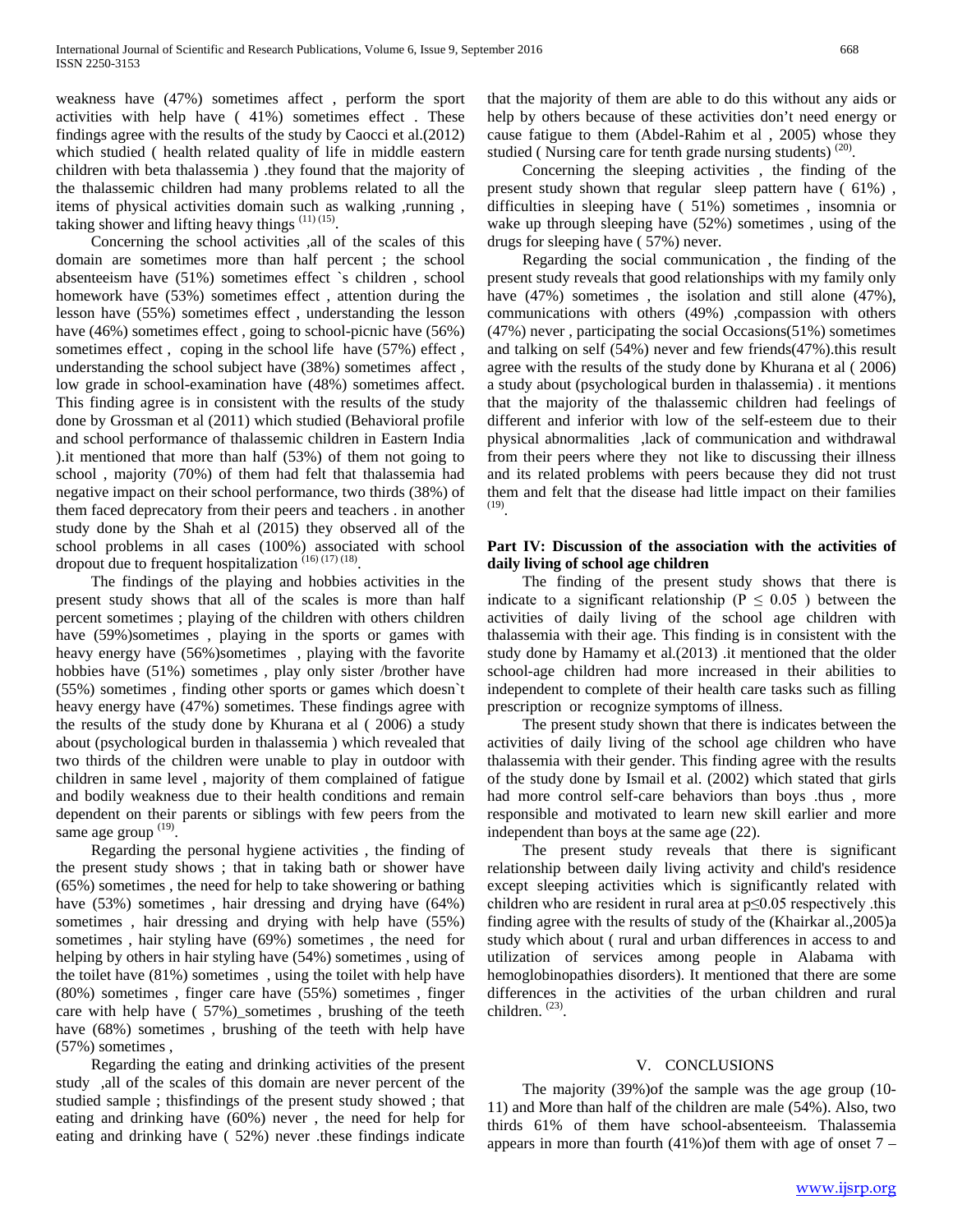weakness have (47%) sometimes affect , perform the sport activities with help have ( 41%) sometimes effect . These findings agree with the results of the study by Caocci et al.(2012) which studied ( health related quality of life in middle eastern children with beta thalassemia ) .they found that the majority of the thalassemic children had many problems related to all the items of physical activities domain such as walking ,running , taking shower and lifting heavy things  $(11)(15)$ .

 Concerning the school activities ,all of the scales of this domain are sometimes more than half percent ; the school absenteeism have (51%) sometimes effect `s children , school homework have (53%) sometimes effect , attention during the lesson have (55%) sometimes effect , understanding the lesson have (46%) sometimes effect, going to school-picnic have (56%) sometimes effect , coping in the school life have (57%) effect , understanding the school subject have (38%) sometimes affect , low grade in school-examination have (48%) sometimes affect. This finding agree is in consistent with the results of the study done by Grossman et al (2011) which studied (Behavioral profile and school performance of thalassemic children in Eastern India ).it mentioned that more than half (53%) of them not going to school , majority (70%) of them had felt that thalassemia had negative impact on their school performance, two thirds (38%) of them faced deprecatory from their peers and teachers . in another study done by the Shah et al (2015) they observed all of the school problems in all cases (100%) associated with school dropout due to frequent hospitalization  $(16)(17)(18)$ .

 The findings of the playing and hobbies activities in the present study shows that all of the scales is more than half percent sometimes ; playing of the children with others children have  $(59\%)$  sometimes, playing in the sports or games with heavy energy have (56%)sometimes, playing with the favorite hobbies have (51%) sometimes, play only sister /brother have (55%) sometimes , finding other sports or games which doesn`t heavy energy have (47%) sometimes. These findings agree with the results of the study done by Khurana et al ( 2006) a study about (psychological burden in thalassemia ) which revealed that two thirds of the children were unable to play in outdoor with children in same level , majority of them complained of fatigue and bodily weakness due to their health conditions and remain dependent on their parents or siblings with few peers from the same age group  $(19)$ .

 Regarding the personal hygiene activities , the finding of the present study shows ; that in taking bath or shower have (65%) sometimes , the need for help to take showering or bathing have (53%) sometimes , hair dressing and drying have (64%) sometimes , hair dressing and drying with help have (55%) sometimes , hair styling have (69%) sometimes , the need for helping by others in hair styling have (54%) sometimes , using of the toilet have (81%) sometimes , using the toilet with help have (80%) sometimes , finger care have (55%) sometimes , finger care with help have (57%) sometimes, brushing of the teeth have (68%) sometimes, brushing of the teeth with help have (57%) sometimes ,

 Regarding the eating and drinking activities of the present study ,all of the scales of this domain are never percent of the studied sample ; thisfindings of the present study showed ; that eating and drinking have (60%) never , the need for help for eating and drinking have ( 52%) never .these findings indicate that the majority of them are able to do this without any aids or help by others because of these activities don't need energy or cause fatigue to them (Abdel-Rahim et al , 2005) whose they studied ( Nursing care for tenth grade nursing students)  $^{(20)}$ .

 Concerning the sleeping activities , the finding of the present study shown that regular sleep pattern have ( 61%) , difficulties in sleeping have ( 51%) sometimes , insomnia or wake up through sleeping have (52%) sometimes , using of the drugs for sleeping have ( 57%) never.

 Regarding the social communication , the finding of the present study reveals that good relationships with my family only have (47%) sometimes, the isolation and still alone (47%), communications with others (49%) ,compassion with others (47%) never , participating the social Occasions(51%) sometimes and talking on self (54%) never and few friends(47%).this result agree with the results of the study done by Khurana et al ( 2006) a study about (psychological burden in thalassemia) . it mentions that the majority of the thalassemic children had feelings of different and inferior with low of the self-esteem due to their physical abnormalities ,lack of communication and withdrawal from their peers where they not like to discussing their illness and its related problems with peers because they did not trust them and felt that the disease had little impact on their families (19).

### **Part IV: Discussion of the association with the activities of daily living of school age children**

 The finding of the present study shows that there is indicate to a significant relationship ( $P \le 0.05$ ) between the activities of daily living of the school age children with thalassemia with their age. This finding is in consistent with the study done by Hamamy et al.(2013) .it mentioned that the older school-age children had more increased in their abilities to independent to complete of their health care tasks such as filling prescription or recognize symptoms of illness.

 The present study shown that there is indicates between the activities of daily living of the school age children who have thalassemia with their gender. This finding agree with the results of the study done by Ismail et al. (2002) which stated that girls had more control self-care behaviors than boys .thus , more responsible and motivated to learn new skill earlier and more independent than boys at the same age (22).

 The present study reveals that there is significant relationship between daily living activity and child's residence except sleeping activities which is significantly related with children who are resident in rural area at  $p \le 0.05$  respectively this finding agree with the results of study of the (Khairkar al.,2005)a study which about ( rural and urban differences in access to and utilization of services among people in Alabama with hemoglobinopathies disorders). It mentioned that there are some differences in the activities of the urban children and rural children. (23).

#### V. CONCLUSIONS

 The majority (39%)of the sample was the age group (10- 11) and More than half of the children are male (54%). Also, two thirds 61% of them have school-absenteeism. Thalassemia appears in more than fourth  $(41\%)$  of them with age of onset  $7 -$